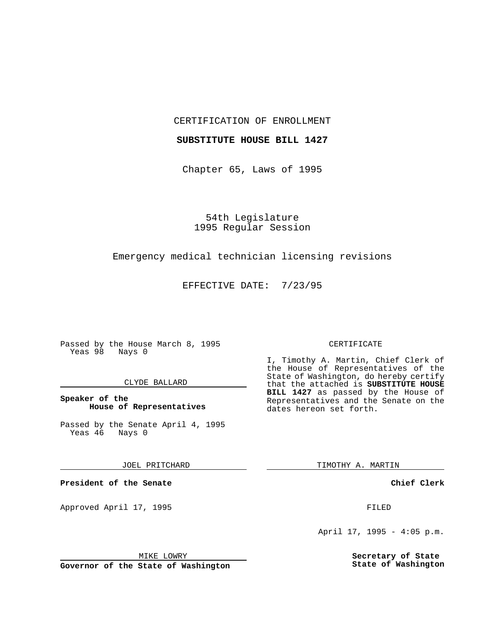## CERTIFICATION OF ENROLLMENT

## **SUBSTITUTE HOUSE BILL 1427**

Chapter 65, Laws of 1995

54th Legislature 1995 Regular Session

## Emergency medical technician licensing revisions

EFFECTIVE DATE: 7/23/95

Passed by the House March 8, 1995 Yeas 98 Nays 0

#### CLYDE BALLARD

## **Speaker of the House of Representatives**

Passed by the Senate April 4, 1995<br>Yeas 46 Nays 0 Yeas 46

### JOEL PRITCHARD

**President of the Senate**

Approved April 17, 1995 FILED

# MIKE LOWRY

**Governor of the State of Washington**

#### CERTIFICATE

I, Timothy A. Martin, Chief Clerk of the House of Representatives of the State of Washington, do hereby certify that the attached is **SUBSTITUTE HOUSE BILL 1427** as passed by the House of Representatives and the Senate on the dates hereon set forth.

TIMOTHY A. MARTIN

## **Chief Clerk**

April 17, 1995 - 4:05 p.m.

**Secretary of State State of Washington**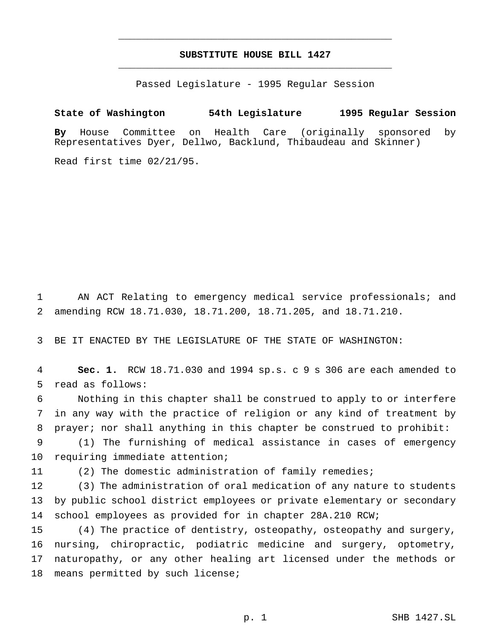# **SUBSTITUTE HOUSE BILL 1427** \_\_\_\_\_\_\_\_\_\_\_\_\_\_\_\_\_\_\_\_\_\_\_\_\_\_\_\_\_\_\_\_\_\_\_\_\_\_\_\_\_\_\_\_\_\_\_

\_\_\_\_\_\_\_\_\_\_\_\_\_\_\_\_\_\_\_\_\_\_\_\_\_\_\_\_\_\_\_\_\_\_\_\_\_\_\_\_\_\_\_\_\_\_\_

Passed Legislature - 1995 Regular Session

# **State of Washington 54th Legislature 1995 Regular Session**

**By** House Committee on Health Care (originally sponsored by Representatives Dyer, Dellwo, Backlund, Thibaudeau and Skinner)

Read first time 02/21/95.

 AN ACT Relating to emergency medical service professionals; and amending RCW 18.71.030, 18.71.200, 18.71.205, and 18.71.210.

BE IT ENACTED BY THE LEGISLATURE OF THE STATE OF WASHINGTON:

 **Sec. 1.** RCW 18.71.030 and 1994 sp.s. c 9 s 306 are each amended to read as follows:

 Nothing in this chapter shall be construed to apply to or interfere in any way with the practice of religion or any kind of treatment by prayer; nor shall anything in this chapter be construed to prohibit:

 (1) The furnishing of medical assistance in cases of emergency requiring immediate attention;

(2) The domestic administration of family remedies;

 (3) The administration of oral medication of any nature to students by public school district employees or private elementary or secondary school employees as provided for in chapter 28A.210 RCW;

 (4) The practice of dentistry, osteopathy, osteopathy and surgery, nursing, chiropractic, podiatric medicine and surgery, optometry, naturopathy, or any other healing art licensed under the methods or 18 means permitted by such license;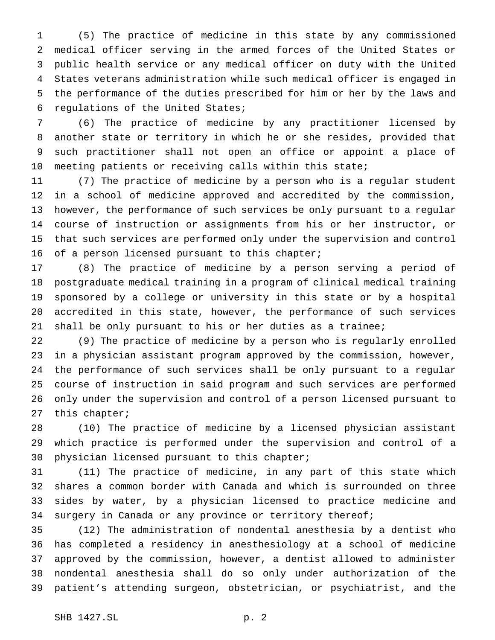(5) The practice of medicine in this state by any commissioned medical officer serving in the armed forces of the United States or public health service or any medical officer on duty with the United States veterans administration while such medical officer is engaged in the performance of the duties prescribed for him or her by the laws and regulations of the United States;

 (6) The practice of medicine by any practitioner licensed by another state or territory in which he or she resides, provided that such practitioner shall not open an office or appoint a place of meeting patients or receiving calls within this state;

 (7) The practice of medicine by a person who is a regular student in a school of medicine approved and accredited by the commission, however, the performance of such services be only pursuant to a regular course of instruction or assignments from his or her instructor, or that such services are performed only under the supervision and control 16 of a person licensed pursuant to this chapter;

 (8) The practice of medicine by a person serving a period of postgraduate medical training in a program of clinical medical training sponsored by a college or university in this state or by a hospital accredited in this state, however, the performance of such services shall be only pursuant to his or her duties as a trainee;

 (9) The practice of medicine by a person who is regularly enrolled in a physician assistant program approved by the commission, however, the performance of such services shall be only pursuant to a regular course of instruction in said program and such services are performed only under the supervision and control of a person licensed pursuant to this chapter;

 (10) The practice of medicine by a licensed physician assistant which practice is performed under the supervision and control of a physician licensed pursuant to this chapter;

 (11) The practice of medicine, in any part of this state which shares a common border with Canada and which is surrounded on three sides by water, by a physician licensed to practice medicine and 34 surgery in Canada or any province or territory thereof;

 (12) The administration of nondental anesthesia by a dentist who has completed a residency in anesthesiology at a school of medicine approved by the commission, however, a dentist allowed to administer nondental anesthesia shall do so only under authorization of the patient's attending surgeon, obstetrician, or psychiatrist, and the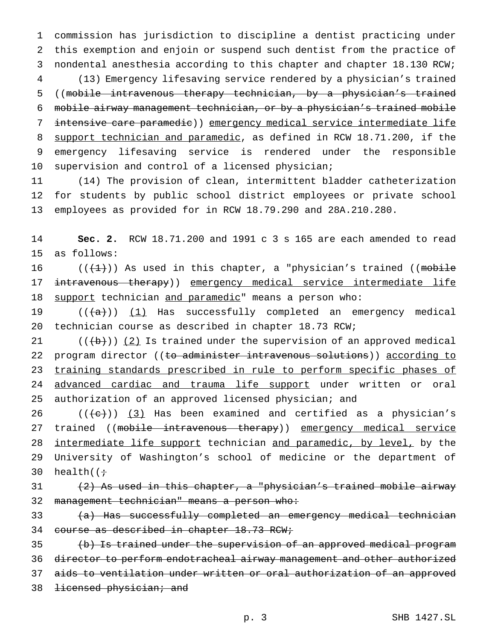commission has jurisdiction to discipline a dentist practicing under this exemption and enjoin or suspend such dentist from the practice of nondental anesthesia according to this chapter and chapter 18.130 RCW; (13) Emergency lifesaving service rendered by a physician's trained ((mobile intravenous therapy technician, by a physician's trained mobile airway management technician, or by a physician's trained mobile intensive care paramedic)) emergency medical service intermediate life 8 support technician and paramedic, as defined in RCW 18.71.200, if the emergency lifesaving service is rendered under the responsible supervision and control of a licensed physician;

11 (14) The provision of clean, intermittent bladder catheterization 12 for students by public school district employees or private school 13 employees as provided for in RCW 18.79.290 and 28A.210.280.

14 **Sec. 2.** RCW 18.71.200 and 1991 c 3 s 165 are each amended to read 15 as follows:

16 (( $\left(\frac{1}{1}\right)$ ) As used in this chapter, a "physician's trained ((mobile 17 intravenous therapy)) emergency medical service intermediate life 18 support technician and paramedic" means a person who:

19  $((+a))$   $(1)$  Has successfully completed an emergency medical 20 technician course as described in chapter 18.73 RCW;

21  $((+b))$   $(2)$  Is trained under the supervision of an approved medical 22 program director ((to administer intravenous solutions)) according to 23 training standards prescribed in rule to perform specific phases of 24 advanced cardiac and trauma life support under written or oral 25 authorization of an approved licensed physician; and

26  $((+e))$   $(3)$  Has been examined and certified as a physician's 27 trained ((mobile intravenous therapy)) emergency medical service 28 intermediate life support technician and paramedic, by level, by the 29 University of Washington's school of medicine or the department of 30 health( $\left(\frac{1}{2}\right)$ 

# 31  $(2)$  As used in this chapter, a "physician's trained mobile airway 32 management technician" means a person who:

33 (a) Has successfully completed an emergency medical technician 34 course as described in chapter 18.73 RCW;

35 (b) Is trained under the supervision of an approved medical program 36 director to perform endotracheal airway management and other authorized 37 aids to ventilation under written or oral authorization of an approved 38 <del>licensed physician; and</del>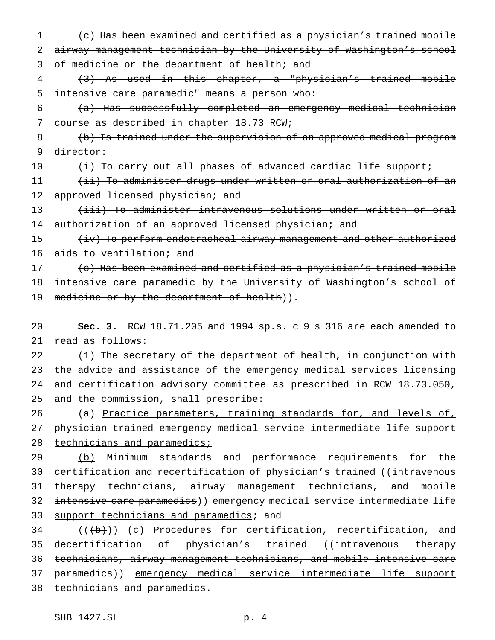1 (c) Has been examined and certified as a physician's trained mobile 2 airway management technician by the University of Washington's school 3 of medicine or the department of health; and

4 (3) As used in this chapter, a "physician's trained mobile 5 intensive care paramedic" means a person who:

 $6$  (a) Has successfully completed an emergency medical technician 7 course as described in chapter 18.73 RCW;

8 (b) Is trained under the supervision of an approved medical program 9 director:

10 (i) To carry out all phases of advanced cardiac life support;

11 (ii) To administer drugs under written or oral authorization of an 12 approved licensed physician; and

13 (iii) To administer intravenous solutions under written or oral 14 authorization of an approved licensed physician; and

15 (iv) To perform endotracheal airway management and other authorized 16 aids to ventilation; and

17  $\left\{ \left\{ \epsilon\right\} \right\}$  Has been examined and certified as a physician's trained mobile 18 intensive care paramedic by the University of Washington's school of 19 medicine or by the department of health)).

20 **Sec. 3.** RCW 18.71.205 and 1994 sp.s. c 9 s 316 are each amended to 21 read as follows:

 (1) The secretary of the department of health, in conjunction with the advice and assistance of the emergency medical services licensing and certification advisory committee as prescribed in RCW 18.73.050, and the commission, shall prescribe:

26 (a) Practice parameters, training standards for, and levels of, 27 physician trained emergency medical service intermediate life support 28 technicians and paramedics;

29 (b) Minimum standards and performance requirements for the 30 certification and recertification of physician's trained ((intravenous 31 therapy technicians, airway management technicians, and mobile 32 intensive care paramedics)) emergency medical service intermediate life 33 support technicians and paramedics; and

 $34$  (( $\left(\frac{1}{10}\right)$ ) (c) Procedures for certification, recertification, and 35 decertification of physician's trained ((<del>intravenous therapy</del> 36 technicians, airway management technicians, and mobile intensive care 37 paramedics)) emergency medical service intermediate life support 38 technicians and paramedics.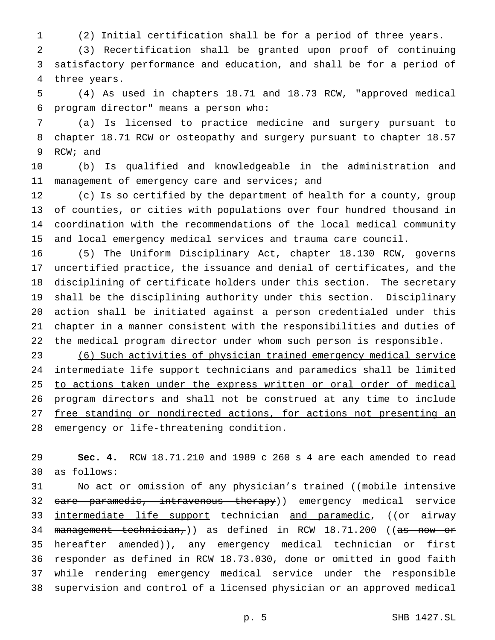(2) Initial certification shall be for a period of three years.

 (3) Recertification shall be granted upon proof of continuing satisfactory performance and education, and shall be for a period of three years.

 (4) As used in chapters 18.71 and 18.73 RCW, "approved medical program director" means a person who:

 (a) Is licensed to practice medicine and surgery pursuant to chapter 18.71 RCW or osteopathy and surgery pursuant to chapter 18.57 RCW; and

 (b) Is qualified and knowledgeable in the administration and 11 management of emergency care and services; and

 (c) Is so certified by the department of health for a county, group of counties, or cities with populations over four hundred thousand in coordination with the recommendations of the local medical community and local emergency medical services and trauma care council.

 (5) The Uniform Disciplinary Act, chapter 18.130 RCW, governs uncertified practice, the issuance and denial of certificates, and the disciplining of certificate holders under this section. The secretary shall be the disciplining authority under this section. Disciplinary action shall be initiated against a person credentialed under this chapter in a manner consistent with the responsibilities and duties of the medical program director under whom such person is responsible.

 (6) Such activities of physician trained emergency medical service intermediate life support technicians and paramedics shall be limited 25 to actions taken under the express written or oral order of medical program directors and shall not be construed at any time to include 27 free standing or nondirected actions, for actions not presenting an 28 emergency or life-threatening condition.

 **Sec. 4.** RCW 18.71.210 and 1989 c 260 s 4 are each amended to read as follows:

31 No act or omission of any physician's trained ((mobile intensive care paramedic, intravenous therapy)) emergency medical service 33 intermediate life support technician and paramedic, ((or airway 34 management technician,)) as defined in RCW 18.71.200 ((as now or 35 hereafter amended)), any emergency medical technician or first responder as defined in RCW 18.73.030, done or omitted in good faith while rendering emergency medical service under the responsible supervision and control of a licensed physician or an approved medical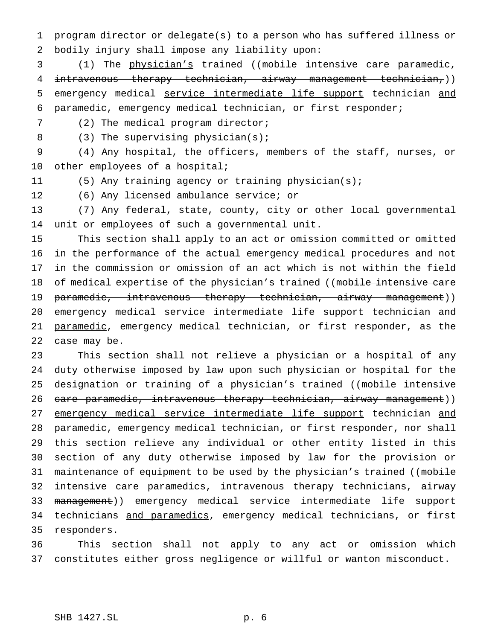program director or delegate(s) to a person who has suffered illness or bodily injury shall impose any liability upon:

 (1) The physician's trained ((mobile intensive care paramedic, intravenous therapy technician, airway management technician,)) emergency medical service intermediate life support technician and paramedic, emergency medical technician, or first responder;

(2) The medical program director;

8 (3) The supervising physician(s);

 (4) Any hospital, the officers, members of the staff, nurses, or other employees of a hospital;

(5) Any training agency or training physician(s);

(6) Any licensed ambulance service; or

 (7) Any federal, state, county, city or other local governmental unit or employees of such a governmental unit.

 This section shall apply to an act or omission committed or omitted in the performance of the actual emergency medical procedures and not in the commission or omission of an act which is not within the field 18 of medical expertise of the physician's trained ((mobile intensive care 19 paramedic, intravenous therapy technician, airway management)) emergency medical service intermediate life support technician and 21 paramedic, emergency medical technician, or first responder, as the case may be.

 This section shall not relieve a physician or a hospital of any duty otherwise imposed by law upon such physician or hospital for the 25 designation or training of a physician's trained ((mobile intensive 26 care paramedic, intravenous therapy technician, airway management)) 27 emergency medical service intermediate life support technician and 28 paramedic, emergency medical technician, or first responder, nor shall this section relieve any individual or other entity listed in this section of any duty otherwise imposed by law for the provision or 31 maintenance of equipment to be used by the physician's trained ((mobile intensive care paramedics, intravenous therapy technicians, airway management)) emergency medical service intermediate life support 34 technicians and paramedics, emergency medical technicians, or first responders.

 This section shall not apply to any act or omission which constitutes either gross negligence or willful or wanton misconduct.